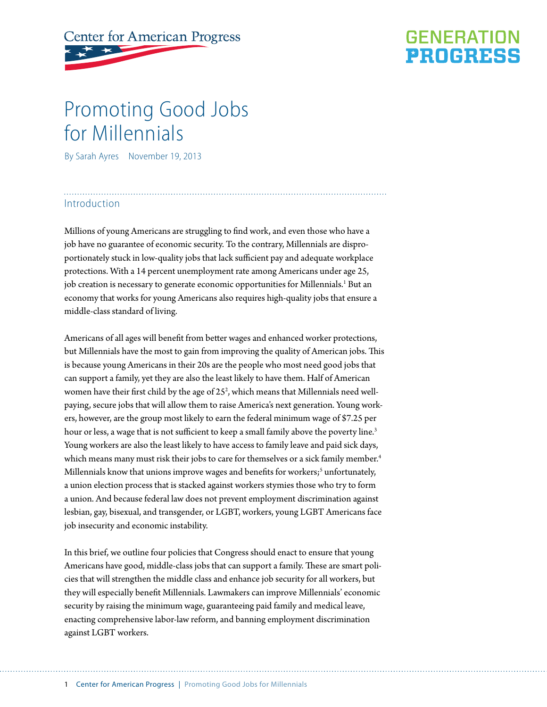# **Center for American Progress**

# **GENERATION PROGRESS**

# Promoting Good Jobs for Millennials

By Sarah Ayres November 19, 2013

## Introduction

Millions of young Americans are struggling to find work, and even those who have a job have no guarantee of economic security. To the contrary, Millennials are disproportionately stuck in low-quality jobs that lack sufficient pay and adequate workplace protections. With a 14 percent unemployment rate among Americans under age 25, job creation is necessary to generate economic opportunities for Millennials.<sup>1</sup> But an economy that works for young Americans also requires high-quality jobs that ensure a middle-class standard of living.

Americans of all ages will benefit from better wages and enhanced worker protections, but Millennials have the most to gain from improving the quality of American jobs. This is because young Americans in their 20s are the people who most need good jobs that can support a family, yet they are also the least likely to have them. Half of American women have their first child by the age of  $25<sup>2</sup>$ , which means that Millennials need wellpaying, secure jobs that will allow them to raise America's next generation. Young workers, however, are the group most likely to earn the federal minimum wage of \$7.25 per hour or less, a wage that is not sufficient to keep a small family above the poverty line.<sup>3</sup> Young workers are also the least likely to have access to family leave and paid sick days, which means many must risk their jobs to care for themselves or a sick family member.<sup>4</sup> Millennials know that unions improve wages and benefits for workers;<sup>5</sup> unfortunately, a union election process that is stacked against workers stymies those who try to form a union. And because federal law does not prevent employment discrimination against lesbian, gay, bisexual, and transgender, or LGBT, workers, young LGBT Americans face job insecurity and economic instability.

In this brief, we outline four policies that Congress should enact to ensure that young Americans have good, middle-class jobs that can support a family. These are smart policies that will strengthen the middle class and enhance job security for all workers, but they will especially benefit Millennials. Lawmakers can improve Millennials' economic security by raising the minimum wage, guaranteeing paid family and medical leave, enacting comprehensive labor-law reform, and banning employment discrimination against LGBT workers.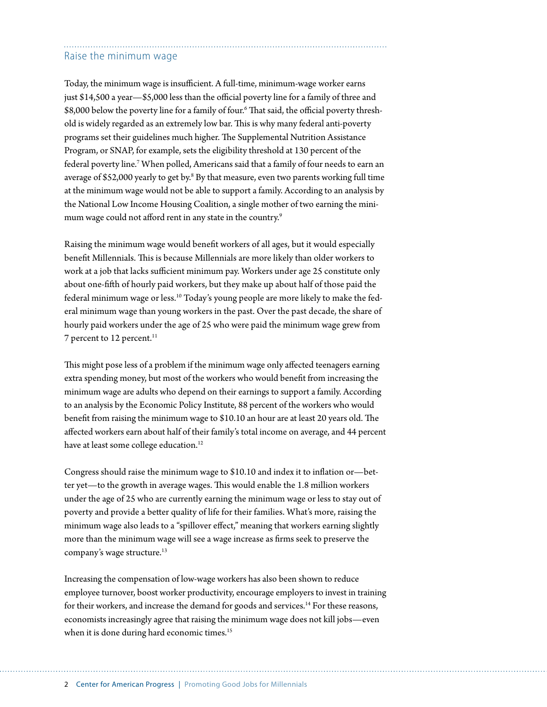# Raise the minimum wage

Today, the minimum wage is insufficient. A full-time, minimum-wage worker earns just \$14,500 a year—\$5,000 less than the official poverty line for a family of three and \$8,000 below the poverty line for a family of four.6 That said, the official poverty threshold is widely regarded as an extremely low bar. This is why many federal anti-poverty programs set their guidelines much higher. The Supplemental Nutrition Assistance Program, or SNAP, for example, sets the eligibility threshold at 130 percent of the federal poverty line.7 When polled, Americans said that a family of four needs to earn an average of \$52,000 yearly to get by.<sup>8</sup> By that measure, even two parents working full time at the minimum wage would not be able to support a family. According to an analysis by the National Low Income Housing Coalition, a single mother of two earning the minimum wage could not afford rent in any state in the country.<sup>9</sup>

Raising the minimum wage would benefit workers of all ages, but it would especially benefit Millennials. This is because Millennials are more likely than older workers to work at a job that lacks sufficient minimum pay. Workers under age 25 constitute only about one-fifth of hourly paid workers, but they make up about half of those paid the federal minimum wage or less.<sup>10</sup> Today's young people are more likely to make the federal minimum wage than young workers in the past. Over the past decade, the share of hourly paid workers under the age of 25 who were paid the minimum wage grew from 7 percent to 12 percent.<sup>11</sup>

This might pose less of a problem if the minimum wage only affected teenagers earning extra spending money, but most of the workers who would benefit from increasing the minimum wage are adults who depend on their earnings to support a family. According to an analysis by the Economic Policy Institute, 88 percent of the workers who would benefit from raising the minimum wage to \$10.10 an hour are at least 20 years old. The affected workers earn about half of their family's total income on average, and 44 percent have at least some college education.<sup>12</sup>

Congress should raise the minimum wage to \$10.10 and index it to inflation or—better yet—to the growth in average wages. This would enable the 1.8 million workers under the age of 25 who are currently earning the minimum wage or less to stay out of poverty and provide a better quality of life for their families. What's more, raising the minimum wage also leads to a "spillover effect," meaning that workers earning slightly more than the minimum wage will see a wage increase as firms seek to preserve the company's wage structure.<sup>13</sup>

Increasing the compensation of low-wage workers has also been shown to reduce employee turnover, boost worker productivity, encourage employers to invest in training for their workers, and increase the demand for goods and services.<sup>14</sup> For these reasons, economists increasingly agree that raising the minimum wage does not kill jobs—even when it is done during hard economic times.<sup>15</sup>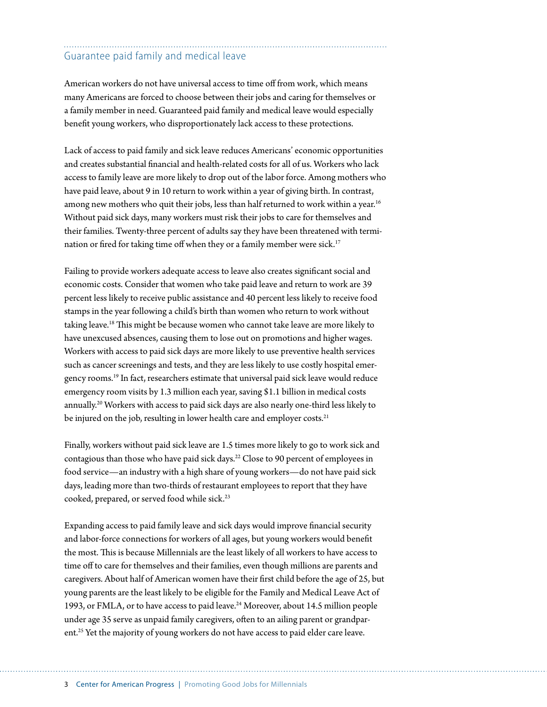# Guarantee paid family and medical leave

American workers do not have universal access to time off from work, which means many Americans are forced to choose between their jobs and caring for themselves or a family member in need. Guaranteed paid family and medical leave would especially benefit young workers, who disproportionately lack access to these protections.

Lack of access to paid family and sick leave reduces Americans' economic opportunities and creates substantial financial and health-related costs for all of us. Workers who lack access to family leave are more likely to drop out of the labor force. Among mothers who have paid leave, about 9 in 10 return to work within a year of giving birth. In contrast, among new mothers who quit their jobs, less than half returned to work within a year.<sup>16</sup> Without paid sick days, many workers must risk their jobs to care for themselves and their families. Twenty-three percent of adults say they have been threatened with termination or fired for taking time off when they or a family member were sick.<sup>17</sup>

Failing to provide workers adequate access to leave also creates significant social and economic costs. Consider that women who take paid leave and return to work are 39 percent less likely to receive public assistance and 40 percent less likely to receive food stamps in the year following a child's birth than women who return to work without taking leave.18 This might be because women who cannot take leave are more likely to have unexcused absences, causing them to lose out on promotions and higher wages. Workers with access to paid sick days are more likely to use preventive health services such as cancer screenings and tests, and they are less likely to use costly hospital emergency rooms.<sup>19</sup> In fact, researchers estimate that universal paid sick leave would reduce emergency room visits by 1.3 million each year, saving \$1.1 billion in medical costs annually.20 Workers with access to paid sick days are also nearly one-third less likely to be injured on the job, resulting in lower health care and employer costs.<sup>21</sup>

Finally, workers without paid sick leave are 1.5 times more likely to go to work sick and contagious than those who have paid sick days.22 Close to 90 percent of employees in food service—an industry with a high share of young workers—do not have paid sick days, leading more than two-thirds of restaurant employees to report that they have cooked, prepared, or served food while sick.23

Expanding access to paid family leave and sick days would improve financial security and labor-force connections for workers of all ages, but young workers would benefit the most. This is because Millennials are the least likely of all workers to have access to time off to care for themselves and their families, even though millions are parents and caregivers. About half of American women have their first child before the age of 25, but young parents are the least likely to be eligible for the Family and Medical Leave Act of 1993, or FMLA, or to have access to paid leave.<sup>24</sup> Moreover, about 14.5 million people under age 35 serve as unpaid family caregivers, often to an ailing parent or grandparent.25 Yet the majority of young workers do not have access to paid elder care leave.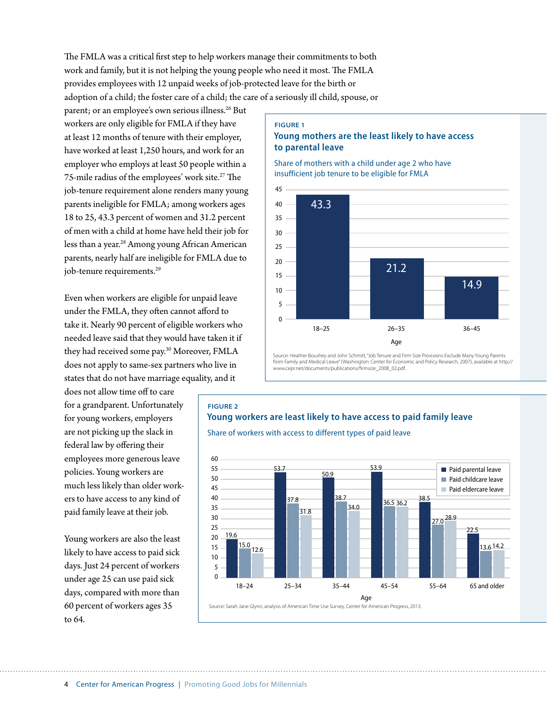The FMLA was a critical first step to help workers manage their commitments to both work and family, but it is not helping the young people who need it most. The FMLA provides employees with 12 unpaid weeks of job-protected leave for the birth or adoption of a child; the foster care of a child; the care of a seriously ill child, spouse, or

parent; or an employee's own serious illness.<sup>26</sup> But workers are only eligible for FMLA if they have at least 12 months of tenure with their employer, have worked at least 1,250 hours, and work for an employer who employs at least 50 people within a 75-mile radius of the employees' work site.<sup>27</sup> The job-tenure requirement alone renders many young parents ineligible for FMLA; among workers ages 18 to 25, 43.3 percent of women and 31.2 percent of men with a child at home have held their job for less than a year.<sup>28</sup> Among young African American parents, nearly half are ineligible for FMLA due to job-tenure requirements.<sup>29</sup>

Even when workers are eligible for unpaid leave under the FMLA, they often cannot afford to take it. Nearly 90 percent of eligible workers who needed leave said that they would have taken it if they had received some pay.30 Moreover, FMLA does not apply to same-sex partners who live in states that do not have marriage equality, and it

does not allow time off to care for a grandparent. Unfortunately for young workers, employers are not picking up the slack in federal law by offering their employees more generous leave policies. Young workers are much less likely than older workers to have access to any kind of paid family leave at their job.

Young workers are also the least likely to have access to paid sick days. Just 24 percent of workers under age 25 can use paid sick days, compared with more than 60 percent of workers ages 35 to 64.

#### **FIGURE 1**

### **Young mothers are the least likely to have access to parental leave**

Share of mothers with a child under age 2 who have insufficient job tenure to be eligible for FMLA



Source: Heather Boushey and John Schmitt, "Job Tenure and Firm Size Provisions Exclude Many Young Parents from Family and Medical Leave" (Washington: Center for Economic and Policy Research, 2007), available at http:// www.cepr.net/documents/publications/firmsize\_2008\_02.pdf.

# **FIGURE 2 Young workers are least likely to have access to paid family leave** Share of workers with access to different types of paid leave



Source: Sarah Jane Glynn, analysis of American Time Use Survey, Center for American Progress, 2013.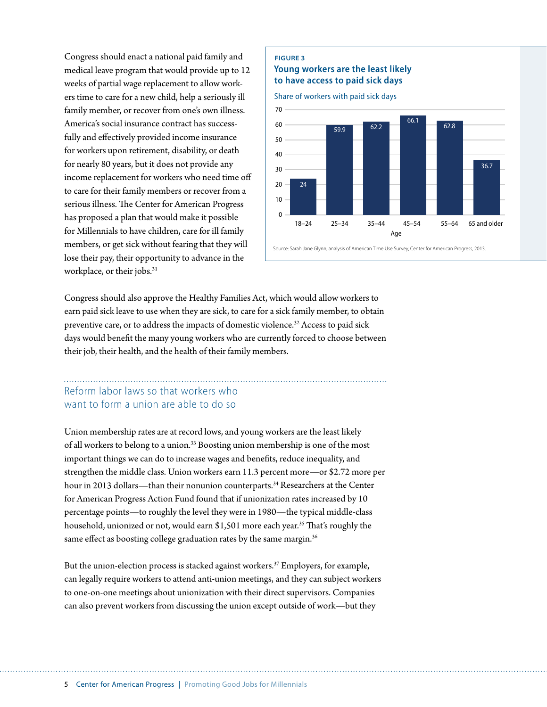Congress should enact a national paid family and medical leave program that would provide up to 12 weeks of partial wage replacement to allow workers time to care for a new child, help a seriously ill family member, or recover from one's own illness. America's social insurance contract has successfully and effectively provided income insurance for workers upon retirement, disability, or death for nearly 80 years, but it does not provide any income replacement for workers who need time off to care for their family members or recover from a serious illness. The Center for American Progress has proposed a plan that would make it possible for Millennials to have children, care for ill family members, or get sick without fearing that they will lose their pay, their opportunity to advance in the workplace, or their jobs.<sup>31</sup>



Source: Sarah Jane Glynn, analysis of American Time Use Survey, Center for American Progress, 2013.

Congress should also approve the Healthy Families Act, which would allow workers to earn paid sick leave to use when they are sick, to care for a sick family member, to obtain preventive care, or to address the impacts of domestic violence.<sup>32</sup> Access to paid sick days would benefit the many young workers who are currently forced to choose between their job, their health, and the health of their family members.

**FIGURE 3**

# Reform labor laws so that workers who want to form a union are able to do so

Union membership rates are at record lows, and young workers are the least likely of all workers to belong to a union.33 Boosting union membership is one of the most important things we can do to increase wages and benefits, reduce inequality, and strengthen the middle class. Union workers earn 11.3 percent more—or \$2.72 more per hour in 2013 dollars—than their nonunion counterparts.<sup>34</sup> Researchers at the Center for American Progress Action Fund found that if unionization rates increased by 10 percentage points—to roughly the level they were in 1980—the typical middle-class household, unionized or not, would earn \$1,501 more each year.<sup>35</sup> That's roughly the same effect as boosting college graduation rates by the same margin.<sup>36</sup>

But the union-election process is stacked against workers.37 Employers, for example, can legally require workers to attend anti-union meetings, and they can subject workers to one-on-one meetings about unionization with their direct supervisors. Companies can also prevent workers from discussing the union except outside of work—but they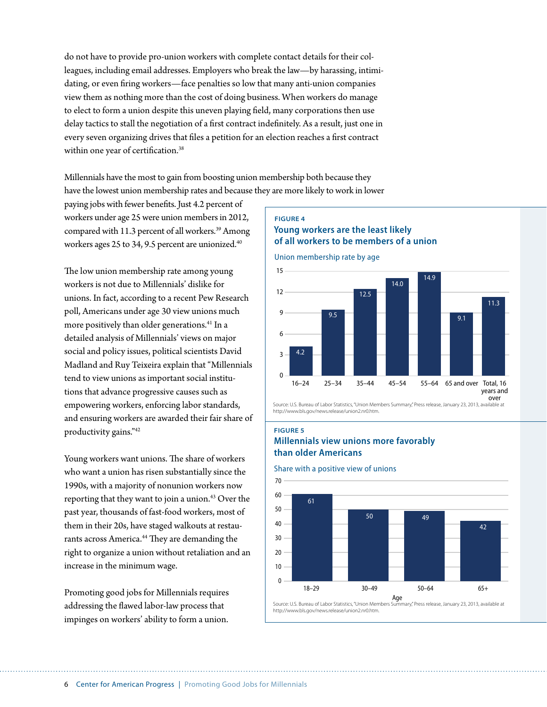do not have to provide pro-union workers with complete contact details for their colleagues, including email addresses. Employers who break the law—by harassing, intimidating, or even firing workers—face penalties so low that many anti-union companies view them as nothing more than the cost of doing business. When workers do manage to elect to form a union despite this uneven playing field, many corporations then use delay tactics to stall the negotiation of a first contract indefinitely. As a result, just one in every seven organizing drives that files a petition for an election reaches a first contract within one year of certification.<sup>38</sup>

Millennials have the most to gain from boosting union membership both because they have the lowest union membership rates and because they are more likely to work in lower

paying jobs with fewer benefits. Just 4.2 percent of workers under age 25 were union members in 2012, compared with 11.3 percent of all workers.<sup>39</sup> Among workers ages 25 to 34, 9.5 percent are unionized.<sup>40</sup>

The low union membership rate among young workers is not due to Millennials' dislike for unions. In fact, according to a recent Pew Research poll, Americans under age 30 view unions much more positively than older generations.<sup>41</sup> In a detailed analysis of Millennials' views on major social and policy issues, political scientists David Madland and Ruy Teixeira explain that "Millennials tend to view unions as important social institutions that advance progressive causes such as empowering workers, enforcing labor standards, and ensuring workers are awarded their fair share of productivity gains."42

Young workers want unions. The share of workers who want a union has risen substantially since the 1990s, with a majority of nonunion workers now reporting that they want to join a union.<sup>43</sup> Over the past year, thousands of fast-food workers, most of them in their 20s, have staged walkouts at restaurants across America.<sup>44</sup> They are demanding the right to organize a union without retaliation and an increase in the minimum wage.

Promoting good jobs for Millennials requires addressing the flawed labor-law process that impinges on workers' ability to form a union.

#### **FIGURE 4 Young workers are the least likely of all workers to be members of a union**

Union membership rate by age



Source: U.S. Bureau of Labor Statistics, "Union Members Summary," Press release, January 23, 2013, av http://www.bls.gov/news.release/union2.pr0.htm

#### **FIGURE 5**

## **Millennials view unions more favorably than older Americans**

#### Share with a positive view of unions



Source: U.S. Bureau of Labor Statistics, "Union Members Summary," Press release, January 23, 2013, available at http://www.bls.gov/news.release/union2.nr0.htm.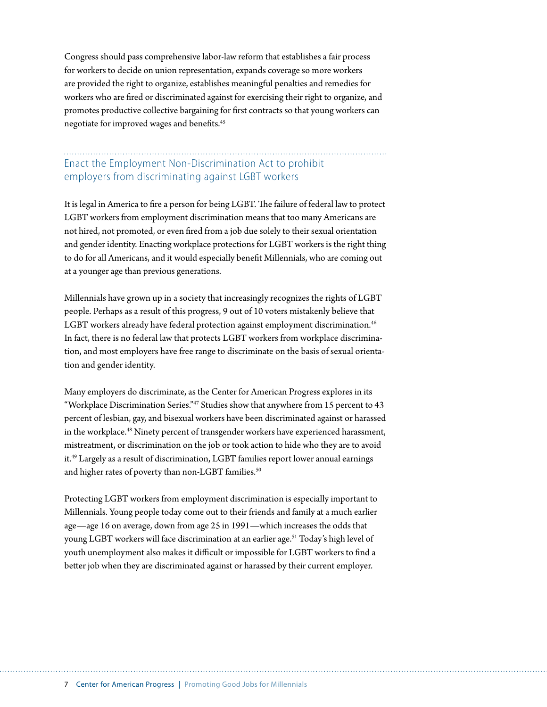Congress should pass comprehensive labor-law reform that establishes a fair process for workers to decide on union representation, expands coverage so more workers are provided the right to organize, establishes meaningful penalties and remedies for workers who are fired or discriminated against for exercising their right to organize, and promotes productive collective bargaining for first contracts so that young workers can negotiate for improved wages and benefits.45

# Enact the Employment Non-Discrimination Act to prohibit employers from discriminating against LGBT workers

It is legal in America to fire a person for being LGBT. The failure of federal law to protect LGBT workers from employment discrimination means that too many Americans are not hired, not promoted, or even fired from a job due solely to their sexual orientation and gender identity. Enacting workplace protections for LGBT workers is the right thing to do for all Americans, and it would especially benefit Millennials, who are coming out at a younger age than previous generations.

Millennials have grown up in a society that increasingly recognizes the rights of LGBT people. Perhaps as a result of this progress, 9 out of 10 voters mistakenly believe that LGBT workers already have federal protection against employment discrimination.<sup>46</sup> In fact, there is no federal law that protects LGBT workers from workplace discrimination, and most employers have free range to discriminate on the basis of sexual orientation and gender identity.

Many employers do discriminate, as the Center for American Progress explores in its "Workplace Discrimination Series."47 Studies show that anywhere from 15 percent to 43 percent of lesbian, gay, and bisexual workers have been discriminated against or harassed in the workplace.<sup>48</sup> Ninety percent of transgender workers have experienced harassment, mistreatment, or discrimination on the job or took action to hide who they are to avoid it.49 Largely as a result of discrimination, LGBT families report lower annual earnings and higher rates of poverty than non-LGBT families.<sup>50</sup>

Protecting LGBT workers from employment discrimination is especially important to Millennials. Young people today come out to their friends and family at a much earlier age—age 16 on average, down from age 25 in 1991—which increases the odds that young LGBT workers will face discrimination at an earlier age.<sup>51</sup> Today's high level of youth unemployment also makes it difficult or impossible for LGBT workers to find a better job when they are discriminated against or harassed by their current employer.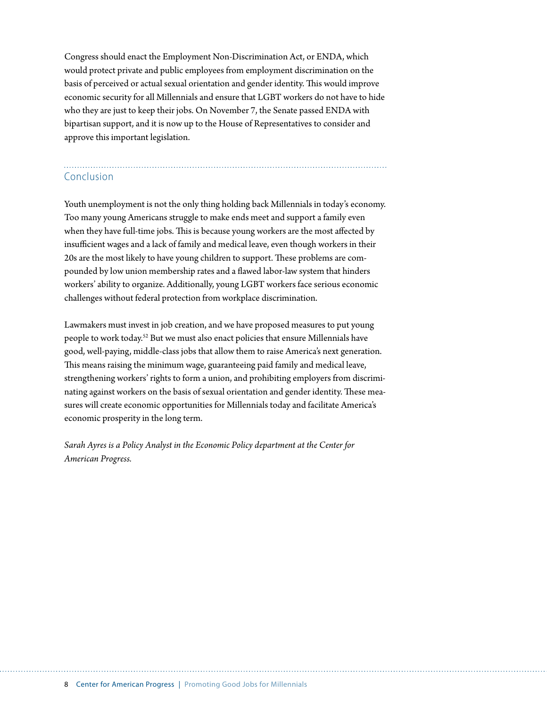Congress should enact the Employment Non-Discrimination Act, or ENDA, which would protect private and public employees from employment discrimination on the basis of perceived or actual sexual orientation and gender identity. This would improve economic security for all Millennials and ensure that LGBT workers do not have to hide who they are just to keep their jobs. On November 7, the Senate passed ENDA with bipartisan support, and it is now up to the House of Representatives to consider and approve this important legislation.

# Conclusion

Youth unemployment is not the only thing holding back Millennials in today's economy. Too many young Americans struggle to make ends meet and support a family even when they have full-time jobs. This is because young workers are the most affected by insufficient wages and a lack of family and medical leave, even though workers in their 20s are the most likely to have young children to support. These problems are compounded by low union membership rates and a flawed labor-law system that hinders workers' ability to organize. Additionally, young LGBT workers face serious economic challenges without federal protection from workplace discrimination.

Lawmakers must invest in job creation, and we have proposed measures to put young people to work today.52 But we must also enact policies that ensure Millennials have good, well-paying, middle-class jobs that allow them to raise America's next generation. This means raising the minimum wage, guaranteeing paid family and medical leave, strengthening workers' rights to form a union, and prohibiting employers from discriminating against workers on the basis of sexual orientation and gender identity. These measures will create economic opportunities for Millennials today and facilitate America's economic prosperity in the long term.

*Sarah Ayres is a Policy Analyst in the Economic Policy department at the Center for American Progress.*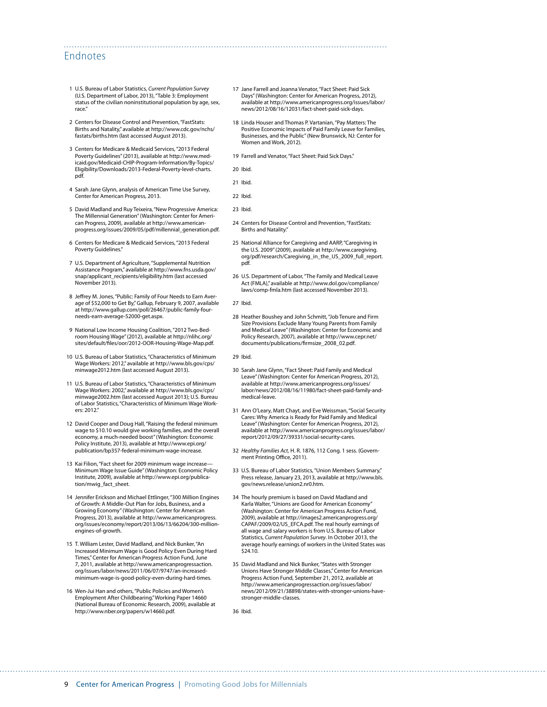## Endnotes

- 1 U.S. Bureau of Labor Statistics, *Current Population Survey* (U.S. Department of Labor, 2013), "Table 3: Employment status of the civilian noninstitutional population by age, sex, race."
- 2 Centers for Disease Control and Prevention, "FastStats: Births and Natality," available at [http://www.cdc.gov/nchs/](http://www.cdc.gov/nchs/fastats/births.htm) [fastats/births.htm](http://www.cdc.gov/nchs/fastats/births.htm) (last accessed August 2013).
- 3 Centers for Medicare & Medicaid Services, "2013 Federal Poverty Guidelines" (2013), available at [http://www.med](http://www.medicaid.gov/Medicaid-CHIP-Program-Information/By-Topics/Eligibility/Downloads/2013-Federal-Poverty-level-charts.pdf)[icaid.gov/Medicaid-CHIP-Program-Information/By-Topics/](http://www.medicaid.gov/Medicaid-CHIP-Program-Information/By-Topics/Eligibility/Downloads/2013-Federal-Poverty-level-charts.pdf) [Eligibility/Downloads/2013-Federal-Poverty-level-charts.](http://www.medicaid.gov/Medicaid-CHIP-Program-Information/By-Topics/Eligibility/Downloads/2013-Federal-Poverty-level-charts.pdf) [pdf](http://www.medicaid.gov/Medicaid-CHIP-Program-Information/By-Topics/Eligibility/Downloads/2013-Federal-Poverty-level-charts.pdf).
- 4 Sarah Jane Glynn, analysis of American Time Use Survey, Center for American Progress, 2013.
- 5 David Madland and Ruy Teixeira, "New Progressive America: The Millennial Generation" (Washington: Center for American Progress, 2009), available at [http://www.american](http://www.americanprogress.org/issues/2009/05/pdf/millennial_generation.pdf)[progress.org/issues/2009/05/pdf/millennial\\_generation.pdf.](http://www.americanprogress.org/issues/2009/05/pdf/millennial_generation.pdf)
- 6 Centers for Medicare & Medicaid Services, "2013 Federal Poverty Guidelines."
- 7 U.S. Department of Agriculture, "Supplemental Nutrition Assistance Program," available at [http://www.fns.usda.gov/](http://www.fns.usda.gov/snap/applicant_recipients/eligibility.htm) [snap/applicant\\_recipients/eligibility.htm](http://www.fns.usda.gov/snap/applicant_recipients/eligibility.htm) (last accessed November 2013).
- 8 Jeffrey M. Jones, "Public: Family of Four Needs to Earn Average of \$52,000 to Get By," Gallup, February 9, 2007, available at [http://www.gallup.com/poll/26467/public-family-four](http://www.gallup.com/poll/26467/public-family-four-needs-earn-average-52000-get.aspx)[needs-earn-average-52000-get.aspx.](http://www.gallup.com/poll/26467/public-family-four-needs-earn-average-52000-get.aspx)
- 9 National Low Income Housing Coalition, "2012 Two-Bedroom Housing Wage" (2012), available at [http://nlihc.org/](http://nlihc.org/sites/default/files/oor/2012-OOR-Housing-Wage-Map.pdf) [sites/default/files/oor/2012-OOR-Housing-Wage-Map.pdf.](http://nlihc.org/sites/default/files/oor/2012-OOR-Housing-Wage-Map.pdf)
- 10 U.S. Bureau of Labor Statistics, "Characteristics of Minimum Wage Workers: 2012," available at [http://www.bls.gov/cps/](http://www.bls.gov/cps/minwage2012.htm) [minwage2012.htm](http://www.bls.gov/cps/minwage2012.htm) (last accessed August 2013).
- 11 U.S. Bureau of Labor Statistics, "Characteristics of Minimum Wage Workers: 2002," available at [http://www.bls.gov/cps/](http://www.bls.gov/cps/minwage2002.htm) [minwage2002.htm](http://www.bls.gov/cps/minwage2002.htm) (last accessed August 2013); U.S. Bureau of Labor Statistics, "Characteristics of Minimum Wage Workers: 2012."
- 12 David Cooper and Doug Hall, "Raising the federal minimum wage to \$10.10 would give working families, and the overall economy, a much-needed boost" (Washington: Economic Policy Institute, 2013), available at [http://www.epi.org/](http://www.epi.org/publication/bp357-federal-minimum-wage-increase) [publication/bp357-federal-minimum-wage-increase.](http://www.epi.org/publication/bp357-federal-minimum-wage-increase)
- 13 Kai Filion, "Fact sheet for 2009 minimum wage increase-Minimum Wage Issue Guide" (Washington: Economic Policy Institute, 2009), available at [http://www.epi.org/publica](http://www.epi.org/publication/mwig_fact_sheet)[tion/mwig\\_fact\\_sheet.](http://www.epi.org/publication/mwig_fact_sheet)
- 14 Jennifer Erickson and Michael Ettlinger, "300 Million Engines of Growth: A Middle-Out Plan for Jobs, Business, and a Growing Economy" (Washington: Center for American Progress, 2013), available at [http://www.americanprogress.](http://www.americanprogress.org/issues/economy/report/2013/06/13/66204/300-million-engines-of-growth) [org/issues/economy/report/2013/06/13/66204/300-million](http://www.americanprogress.org/issues/economy/report/2013/06/13/66204/300-million-engines-of-growth)[engines-of-growth.](http://www.americanprogress.org/issues/economy/report/2013/06/13/66204/300-million-engines-of-growth)
- 15 T. William Lester, David Madland, and Nick Bunker, "An Increased Minimum Wage is Good Policy Even During Hard Times," Center for American Progress Action Fund, June 7, 2011, available at [http://www.americanprogressaction.](http://www.americanprogressaction.org/issues/labor/news/2011/06/07/9747/an-increased-minimum-wage-is-good-policy-even-during-hard-times) [org/issues/labor/news/2011/06/07/9747/an-increased](http://www.americanprogressaction.org/issues/labor/news/2011/06/07/9747/an-increased-minimum-wage-is-good-policy-even-during-hard-times)[minimum-wage-is-good-policy-even-during-hard-times](http://www.americanprogressaction.org/issues/labor/news/2011/06/07/9747/an-increased-minimum-wage-is-good-policy-even-during-hard-times).
- 16 Wen-Jui Han and others, "Public Policies and Women's Employment After Childbearing." Working Paper 14660 (National Bureau of Economic Research, 2009), available at [http://www.nber.org/papers/w14660.pdf.](http://www.nber.org/papers/w14660.pdf)
- 17 Jane Farrell and Joanna Venator, "Fact Sheet: Paid Sick Days" (Washington: Center for American Progress, 2012), available at [http://www.americanprogress.org/issues/labor/](http://www.americanprogress.org/issues/labor/news/2012/08/16/12031/fact-sheet-paid-sick-days) [news/2012/08/16/12031/fact-sheet-paid-sick-days](http://www.americanprogress.org/issues/labor/news/2012/08/16/12031/fact-sheet-paid-sick-days).
- 18 Linda Houser and Thomas P. Vartanian, "Pay Matters: The Positive Economic Impacts of Paid Family Leave for Families, Businesses, and the Public" (New Brunswick, NJ: Center for Women and Work, 2012).
- 19 Farrell and Venator, "Fact Sheet: Paid Sick Days."
- 20 Ibid.

- 21 Ibid.
- 22 Ibid.
- 23 Ibid.
- 24 Centers for Disease Control and Prevention, "FastStats: Births and Natality."
- 25 National Alliance for Caregiving and AARP, "Caregiving in the U.S. 2009" (2009), available at [http://www.caregiving.](http://www.caregiving.org/pdf/research/Caregiving_in_the_US_2009_full_report.pdf) [org/pdf/research/Caregiving\\_in\\_the\\_US\\_2009\\_full\\_report.](http://www.caregiving.org/pdf/research/Caregiving_in_the_US_2009_full_report.pdf) [pdf](http://www.caregiving.org/pdf/research/Caregiving_in_the_US_2009_full_report.pdf).
- 26 U.S. Department of Labor, "The Family and Medical Leave Act (FMLA)," available at [http://www.dol.gov/compliance/](http://www.dol.gov/compliance/laws/comp-fmla.htm) [laws/comp-fmla.htm](http://www.dol.gov/compliance/laws/comp-fmla.htm) (last accessed November 2013).
- 27 Ibid.
- 28 Heather Boushey and John Schmitt, "Job Tenure and Firm Size Provisions Exclude Many Young Parents from Family and Medical Leave" (Washington: Center for Economic and Policy Research, 2007), available at [http://www.cepr.net/](http://www.cepr.net/documents/publications/firmsize_2008_02.pdf) [documents/publications/firmsize\\_2008\\_02.pdf.](http://www.cepr.net/documents/publications/firmsize_2008_02.pdf)

29 Ibid.

- 30 Sarah Jane Glynn, "Fact Sheet: Paid Family and Medical Leave" (Washington: Center for American Progress, 2012), available at [http://www.americanprogress.org/issues/](http://www.americanprogress.org/issues/labor/news/2012/08/16/11980/fact-sheet-paid-family-and-medical-leave) [labor/news/2012/08/16/11980/fact-sheet-paid-family-and](http://www.americanprogress.org/issues/labor/news/2012/08/16/11980/fact-sheet-paid-family-and-medical-leave)[medical-leave.](http://www.americanprogress.org/issues/labor/news/2012/08/16/11980/fact-sheet-paid-family-and-medical-leave)
- 31 Ann O'Leary, Matt Chayt, and Eve Weissman, "Social Security Cares: Why America is Ready for Paid Family and Medical Leave" (Washington: Center for American Progress, 2012), available at [http://www.americanprogress.org/issues/labor/](http://www.americanprogress.org/issues/labor/report/2012/09/27/39331/social-security-cares) [report/2012/09/27/39331/social-security-cares](http://www.americanprogress.org/issues/labor/report/2012/09/27/39331/social-security-cares).
- 32 *Healthy Families Act,* H. R. 1876, 112 Cong. 1 sess. (Government Printing Office, 2011).
- 33 U.S. Bureau of Labor Statistics, "Union Members Summary," Press release, January 23, 2013, available at [http://www.bls.](http://www.bls.gov/news.release/union2.nr0.htm) [gov/news.release/union2.nr0.htm.](http://www.bls.gov/news.release/union2.nr0.htm)
- 34 The hourly premium is based on David Madland and Karla Walter, "Unions are Good for American Economy (Washington: Center for American Progress Action Fund, 2009), available at [http://images2.americanprogress.org/](http://images2.americanprogress.org/CAPAF/2009/02/US_EFCA.pdf) [CAPAF/2009/02/US\\_EFCA.pdf.](http://images2.americanprogress.org/CAPAF/2009/02/US_EFCA.pdf) The real hourly earnings of all wage and salary workers is from U.S. Bureau of Labor Statistics, *Current Population Survey*. In October 2013, the average hourly earnings of workers in the United States was \$24.10.
- 35 David Madland and Nick Bunker, "States with Stronger Unions Have Stronger Middle Classes," Center for American Progress Action Fund, September 21, 2012, available at [http://www.americanprogressaction.org/issues/labor/](http://www.americanprogressaction.org/issues/labor/news/2012/09/21/38898/states-with-stronger-unions-have-stronger-middle-classes) [news/2012/09/21/38898/states-with-stronger-unions-have](http://www.americanprogressaction.org/issues/labor/news/2012/09/21/38898/states-with-stronger-unions-have-stronger-middle-classes)[stronger-middle-classes.](http://www.americanprogressaction.org/issues/labor/news/2012/09/21/38898/states-with-stronger-unions-have-stronger-middle-classes)

36 Ibid.